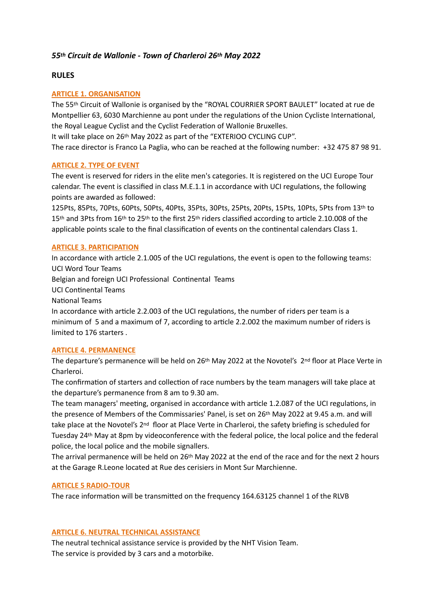# *55th Circuit de Wallonie - Town of Charleroi 26th May 2022*

# **RULES**

# **ARTICLE 1. ORGANISATION**

The 55th Circuit of Wallonie is organised by the "ROYAL COURRIER SPORT BAULET" located at rue de Montpellier 63, 6030 Marchienne au pont under the regulations of the Union Cycliste International, the Royal League Cyclist and the Cyclist Federation of Wallonie Bruxelles.

It will take place on 26th May 2022 as part of the "EXTERIOO CYCLING CUP".

The race director is Franco La Paglia, who can be reached at the following number: +32 475 87 98 91.

# **ARTICLE 2. TYPE OF EVENT**

The event is reserved for riders in the elite men's categories. It is registered on the UCI Europe Tour calendar. The event is classified in class M.E.1.1 in accordance with UCI regulations, the following points are awarded as followed:

125Pts, 85Pts, 70Pts, 60Pts, 50Pts, 40Pts, 35Pts, 30Pts, 25Pts, 20Pts, 15Pts, 10Pts, 5Pts from 13th to 15<sup>th</sup> and 3Pts from 16<sup>th</sup> to 25<sup>th</sup> to the first 25<sup>th</sup> riders classified according to article 2.10.008 of the applicable points scale to the final classification of events on the continental calendars Class 1.

# **ARTICLE 3. PARTICIPATION**

In accordance with article 2.1.005 of the UCI regulations, the event is open to the following teams: UCI Word Tour Teams Belgian and foreign UCI Professional Continental Teams **UCI Continental Teams** National Teams

In accordance with article 2.2.003 of the UCI regulations, the number of riders per team is a minimum of 5 and a maximum of 7, according to article 2.2.002 the maximum number of riders is limited to 176 starters .

## **ARTICLE 4. PERMANENCE**

The departure's permanence will be held on 26<sup>th</sup> May 2022 at the Novotel's 2<sup>nd</sup> floor at Place Verte in Charleroi.

The confirmation of starters and collection of race numbers by the team managers will take place at the departure's permanence from 8 am to 9.30 am.

The team managers' meeting, organised in accordance with article 1.2.087 of the UCI regulations, in the presence of Members of the Commissaries' Panel, is set on 26<sup>th</sup> May 2022 at 9.45 a.m. and will take place at the Novotel's 2<sup>nd</sup> floor at Place Verte in Charleroi, the safety briefing is scheduled for Tuesday 24th May at 8pm by videoconference with the federal police, the local police and the federal police, the local police and the mobile signallers.

The arrival permanence will be held on 26th May 2022 at the end of the race and for the next 2 hours at the Garage R.Leone located at Rue des cerisiers in Mont Sur Marchienne.

## **ARTICLE 5 RADIO-TOUR**

The race information will be transmitted on the frequency 164.63125 channel 1 of the RLVB

## **ARTICLE 6. NEUTRAL TECHNICAL ASSISTANCE**

The neutral technical assistance service is provided by the NHT Vision Team. The service is provided by 3 cars and a motorbike.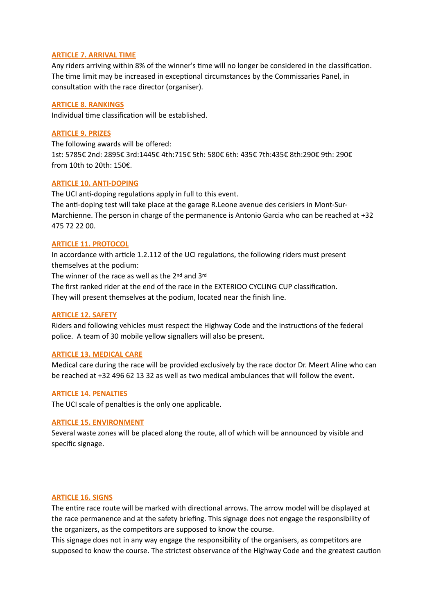### **ARTICLE 7. ARRIVAL TIME**

Any riders arriving within 8% of the winner's time will no longer be considered in the classification. The time limit may be increased in exceptional circumstances by the Commissaries Panel, in consultation with the race director (organiser).

### **ARTICLE 8. RANKINGS**

Individual time classification will be established.

### **ARTICLE 9. PRIZES**

The following awards will be offered: 1st: 5785€ 2nd: 2895€ 3rd:1445€ 4th:715€ 5th: 580€ 6th: 435€ 7th:435€ 8th:290€ 9th: 290€ from 10th to 20th: 150€.

## **ARTICLE 10. ANTI-DOPING**

The UCI anti-doping regulations apply in full to this event. The anti-doping test will take place at the garage R.Leone avenue des cerisiers in Mont-Sur-Marchienne. The person in charge of the permanence is Antonio Garcia who can be reached at +32 475 72 22 00.

### **ARTICLE 11. PROTOCOL**

In accordance with article 1.2.112 of the UCI regulations, the following riders must present themselves at the podium:

The winner of the race as well as the 2<sup>nd</sup> and 3<sup>rd</sup>

The first ranked rider at the end of the race in the EXTERIOO CYCLING CUP classification. They will present themselves at the podium, located near the finish line.

#### **ARTICLE 12. SAFETY**

Riders and following vehicles must respect the Highway Code and the instructions of the federal police. A team of 30 mobile yellow signallers will also be present.

#### **ARTICLE 13. MEDICAL CARE**

Medical care during the race will be provided exclusively by the race doctor Dr. Meert Aline who can be reached at +32 496 62 13 32 as well as two medical ambulances that will follow the event.

#### **ARTICLE 14. PENALTIES**

The UCI scale of penalties is the only one applicable.

### **ARTICLE 15. ENVIRONMENT**

Several waste zones will be placed along the route, all of which will be announced by visible and specific signage.

#### **ARTICLE 16. SIGNS**

The entire race route will be marked with directional arrows. The arrow model will be displayed at the race permanence and at the safety briefing. This signage does not engage the responsibility of the organizers, as the competitors are supposed to know the course.

This signage does not in any way engage the responsibility of the organisers, as competitors are supposed to know the course. The strictest observance of the Highway Code and the greatest caution